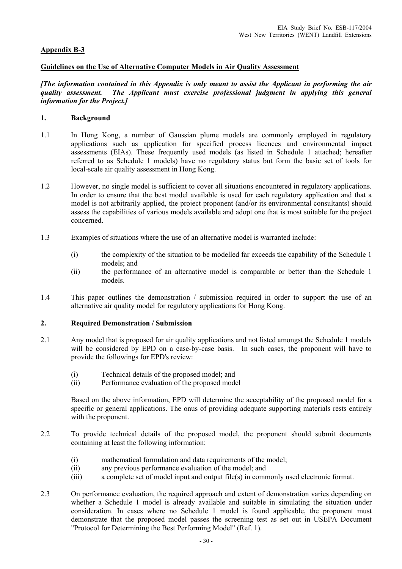# **Appendix B-3**

# **Guidelines on the Use of Alternative Computer Models in Air Quality Assessment**

*[The information contained in this Appendix is only meant to assist the Applicant in performing the air quality assessment. The Applicant must exercise professional judgment in applying this general information for the Project.]* 

# **1. Background**

- 1.1 In Hong Kong, a number of Gaussian plume models are commonly employed in regulatory applications such as application for specified process licences and environmental impact assessments (EIAs). These frequently used models (as listed in Schedule 1 attached; hereafter referred to as Schedule 1 models) have no regulatory status but form the basic set of tools for local-scale air quality assessment in Hong Kong.
- 1.2 However, no single model is sufficient to cover all situations encountered in regulatory applications. In order to ensure that the best model available is used for each regulatory application and that a model is not arbitrarily applied, the project proponent (and/or its environmental consultants) should assess the capabilities of various models available and adopt one that is most suitable for the project concerned.
- 1.3 Examples of situations where the use of an alternative model is warranted include:
	- (i) the complexity of the situation to be modelled far exceeds the capability of the Schedule 1 models; and
	- (ii) the performance of an alternative model is comparable or better than the Schedule 1 models.
- 1.4 This paper outlines the demonstration / submission required in order to support the use of an alternative air quality model for regulatory applications for Hong Kong.

## **2. Required Demonstration / Submission**

- 2.1 Any model that is proposed for air quality applications and not listed amongst the Schedule 1 models will be considered by EPD on a case-by-case basis. In such cases, the proponent will have to provide the followings for EPD's review:
	- (i) Technical details of the proposed model; and
	- (ii) Performance evaluation of the proposed model

 Based on the above information, EPD will determine the acceptability of the proposed model for a specific or general applications. The onus of providing adequate supporting materials rests entirely with the proponent.

- 2.2 To provide technical details of the proposed model, the proponent should submit documents containing at least the following information:
	- (i) mathematical formulation and data requirements of the model;
	- (ii) any previous performance evaluation of the model; and
	- (iii) a complete set of model input and output file(s) in commonly used electronic format.
- 2.3 On performance evaluation, the required approach and extent of demonstration varies depending on whether a Schedule 1 model is already available and suitable in simulating the situation under consideration. In cases where no Schedule 1 model is found applicable, the proponent must demonstrate that the proposed model passes the screening test as set out in USEPA Document "Protocol for Determining the Best Performing Model" (Ref. 1).